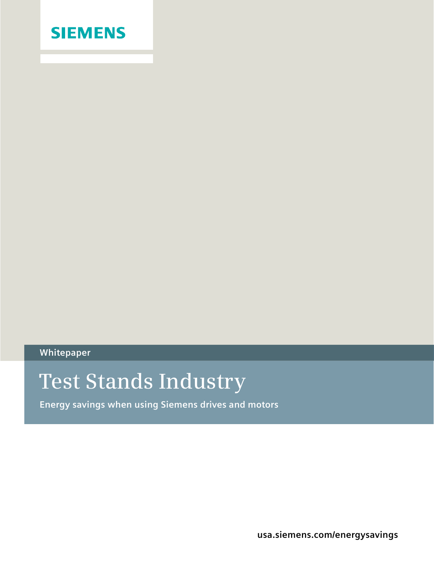

**Whitepaper**

## **Test Stands Industry**

**Energy savings when using Siemens drives and motors**

**usa.siemens.com/energysavings**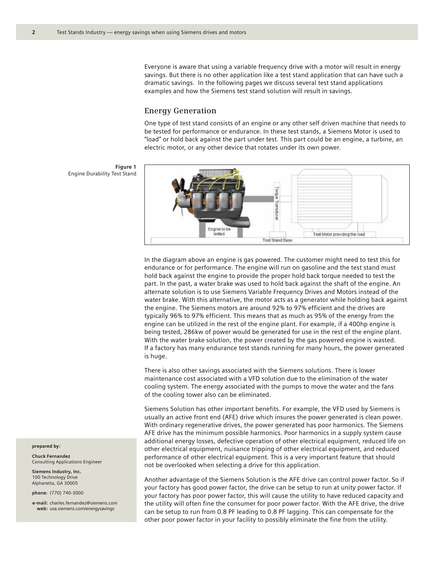Everyone is aware that using a variable frequency drive with a motor will result in energy savings. But there is no other application like a test stand application that can have such a dramatic savings. In the following pages we discuss several test stand applications examples and how the Siemens test stand solution will result in savings.

## **Energy Generation**

One type of test stand consists of an engine or any other self driven machine that needs to be tested for performance or endurance. In these test stands, a Siemens Motor is used to "load" or hold back against the part under test. This part could be an engine, a turbine, an electric motor, or any other device that rotates under its own power.

**Figure 1** Engine Durability Test Stand



In the diagram above an engine is gas powered. The customer might need to test this for endurance or for performance. The engine will run on gasoline and the test stand must hold back against the engine to provide the proper hold back torque needed to test the part. In the past, a water brake was used to hold back against the shaft of the engine. An alternate solution is to use Siemens Variable Frequency Drives and Motors instead of the water brake. With this alternative, the motor acts as a generator while holding back against the engine. The Siemens motors are around 92% to 97% efficient and the drives are typically 96% to 97% efficient. This means that as much as 95% of the energy from the engine can be utilized in the rest of the engine plant. For example, if a 400hp engine is being tested, 286kw of power would be generated for use in the rest of the engine plant. With the water brake solution, the power created by the gas powered engine is wasted. If a factory has many endurance test stands running for many hours, the power generated is huge.

There is also other savings associated with the Siemens solutions. There is lower maintenance cost associated with a VFD solution due to the elimination of the water cooling system. The energy associated with the pumps to move the water and the fans of the cooling tower also can be eliminated.

Siemens Solution has other important benefits. For example, the VFD used by Siemens is usually an active front end (AFE) drive which insures the power generated is clean power. With ordinary regenerative drives, the power generated has poor harmonics. The Siemens AFE drive has the minimum possible harmonics. Poor harmonics in a supply system cause additional energy losses, defective operation of other electrical equipment, reduced life on other electrical equipment, nuisance tripping of other electrical equipment, and reduced performance of other electrical equipment. This is a very important feature that should not be overlooked when selecting a drive for this application.

Another advantage of the Siemens Solution is the AFE drive can control power factor. So if your factory has good power factor, the drive can be setup to run at unity power factor. If your factory has poor power factor, this will cause the utility to have reduced capacity and the utility will often fine the consumer for poor power factor. With the AFE drive, the drive can be setup to run from 0.8 PF leading to 0.8 PF lagging. This can compensate for the other poor power factor in your facility to possibly eliminate the fine from the utility.

**prepared by:**

**Chuck Fernandez** Consulting Applications Engineer

**Siemens Industry, Inc.** 100 Technology Drive Alpharetta, GA 30005

**phone**: (770) 740-3000

**e-mail:** charles.fernandez@siemens.com **web:** usa.siemens.com/energysavings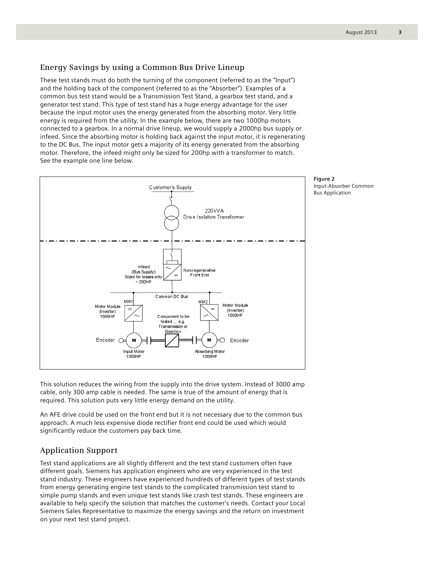These test stands must do both the turning of the component (referred to as the "Input") and the holding back of the component (referred to as the "Absorber"). Examples of a common bus test stand would be a Transmission Test Stand, a gearbox test stand, and a generator test stand. This type of test stand has a huge energy advantage for the user because the input motor uses the energy generated from the absorbing motor. Very little energy is required from the utility. In the example below, there are two 1000hp motors connected to a gearbox. In a normal drive lineup, we would supply a 2000hp bus supply or infeed. Since the absorbing motor is holding back against the input motor, it is regenerating to the DC Bus. The input motor gets a majority of its energy generated from the absorbing motor. Therefore, the infeed might only be sized for 200hp with a transformer to match. See the example one line below.



This solution reduces the wiring from the supply into the drive system. Instead of 3000 amp cable, only 300 amp cable is needed. The same is true of the amount of energy that is required. This solution puts very little energy demand on the utility.

An AFE drive could be used on the front end but it is not necessary due to the common bus approach. A much less expensive diode rectifier front end could be used which would significantly reduce the customers pay back time.

## **Application Support**

Test stand applications are all slightly different and the test stand customers often have different goals. Siemens has application engineers who are very experienced in the test stand industry. These engineers have experienced hundreds of different types of test stands from energy generating engine test stands to the complicated transmission test stand to simple pump stands and even unique test stands like crash test stands. These engineers are available to help specify the solution that matches the customer's needs. Contact your Local Siemens Sales Representative to maximize the energy savings and the return on investment on your next test stand project.